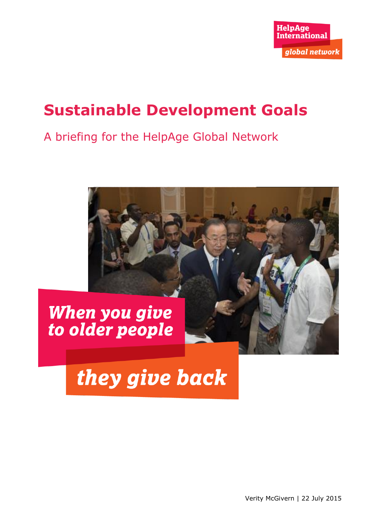

## **Sustainable Development Goals**

### A briefing for the HelpAge Global Network



# they give back

Verity McGivern | 22 July 2015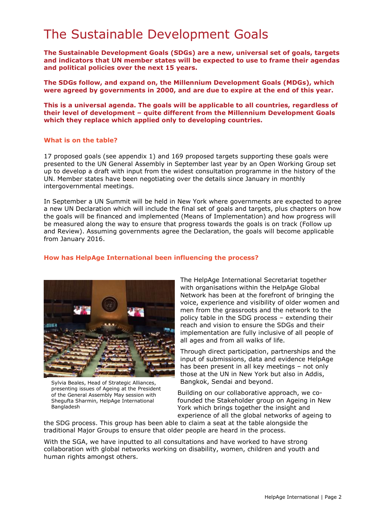### The Sustainable Development Goals

**The Sustainable Development Goals (SDGs) are a new, universal set of goals, targets and indicators that UN member states will be expected to use to frame their agendas and political policies over the next 15 years.**

**The SDGs follow, and expand on, the Millennium Development Goals (MDGs), which were agreed by governments in 2000, and are due to expire at the end of this year.**

**This is a universal agenda. The goals will be applicable to all countries, regardless of their level of development – quite different from the Millennium Development Goals which they replace which applied only to developing countries.**

#### **What is on the table?**

17 proposed goals (see appendix 1) and 169 proposed targets supporting these goals were presented to the UN General Assembly in September last year by an Open Working Group set up to develop a draft with input from the widest consultation programme in the history of the UN. Member states have been negotiating over the details since January in monthly intergovernmental meetings.

In September a UN Summit will be held in New York where governments are expected to agree a new UN Declaration which will include the final set of goals and targets, plus chapters on how the goals will be financed and implemented (Means of Implementation) and how progress will be measured along the way to ensure that progress towards the goals is on track (Follow up and Review). Assuming governments agree the Declaration, the goals will become applicable from January 2016.

#### **How has HelpAge International been influencing the process?**



Sylvia Beales, Head of Strategic Alliances, presenting issues of Ageing at the President of the General Assembly May session with Shegufta Sharmin, HelpAge International Bangladesh

The HelpAge International Secretariat together with organisations within the HelpAge Global Network has been at the forefront of bringing the voice, experience and visibility of older women and men from the grassroots and the network to the policy table in the SDG process – extending their reach and vision to ensure the SDGs and their implementation are fully inclusive of all people of all ages and from all walks of life.

Through direct participation, partnerships and the input of submissions, data and evidence HelpAge has been present in all key meetings – not only those at the UN in New York but also in Addis, Bangkok, Sendai and beyond.

Building on our collaborative approach, we cofounded the Stakeholder group on Ageing in New York which brings together the insight and experience of all the global networks of ageing to

the SDG process. This group has been able to claim a seat at the table alongside the traditional Major Groups to ensure that older people are heard in the process.

With the SGA, we have inputted to all consultations and have worked to have strong collaboration with global networks working on disability, women, children and youth and human rights amongst others.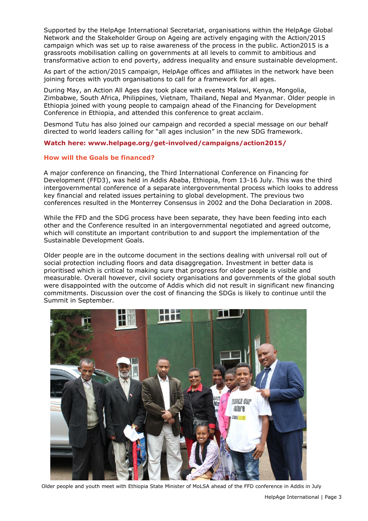Supported by the HelpAge International Secretariat, organisations within the HelpAge Global Network and the Stakeholder Group on Ageing are actively engaging with the Action/2015 campaign which was set up to raise awareness of the process in the public. Action2015 is a grassroots mobilisation calling on governments at all levels to commit to ambitious and transformative action to end poverty, address inequality and ensure sustainable development.

As part of the action/2015 campaign, HelpAge offices and affiliates in the network have been joining forces with youth organisations to call for a framework for all ages.

During May, an Action All Ages day took place with events Malawi, Kenya, Mongolia, Zimbabwe, South Africa, Philippines, Vietnam, Thailand, Nepal and Myanmar. Older people in Ethiopia joined with young people to campaign ahead of the Financing for Development Conference in Ethiopia, and attended this conference to great acclaim.

Desmond Tutu has also joined our campaign and recorded a special message on our behalf directed to world leaders calling for "all ages inclusion" in the new SDG framework.

#### **Watch here: www.helpage.org/get-involved/campaigns/action2015/**

#### **How will the Goals be financed?**

A major conference on financing, the Third International Conference on Financing for Development (FFD3), was held in Addis Ababa, Ethiopia, from 13-16 July. This was the third intergovernmental conference of a separate intergovernmental process which looks to address key financial and related issues pertaining to global development. The previous two conferences resulted in the Monterrey Consensus in 2002 and the Doha Declaration in 2008.

While the FFD and the SDG process have been separate, they have been feeding into each other and the Conference resulted in an intergovernmental negotiated and agreed outcome, which will constitute an important contribution to and support the implementation of the Sustainable Development Goals.

Older people are in the outcome document in the sections dealing with universal roll out of social protection including floors and data disaggregation. Investment in better data is prioritised which is critical to making sure that progress for older people is visible and measurable. Overall however, civil society organisations and governments of the global south were disappointed with the outcome of Addis which did not result in significant new financing commitments. Discussion over the cost of financing the SDGs is likely to continue until the Summit in September.



Older people and youth meet with Ethiopia State Minister of MoLSA ahead of the FFD conference in Addis in July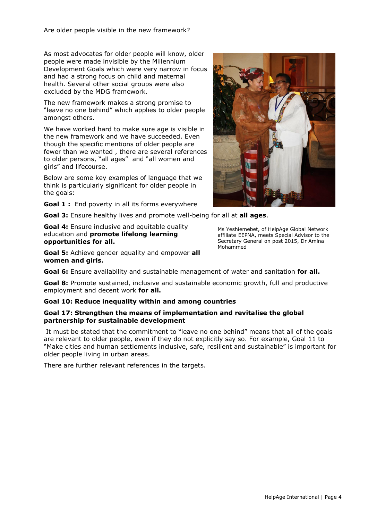As most advocates for older people will know, older people were made invisible by the Millennium Development Goals which were very narrow in focus and had a strong focus on child and maternal health. Several other social groups were also excluded by the MDG framework.

The new framework makes a strong promise to "leave no one behind" which applies to older people amongst others.

We have worked hard to make sure age is visible in the new framework and we have succeeded. Even though the specific mentions of older people are fewer than we wanted , there are several references to older persons, "all ages" and "all women and girls" and lifecourse.

Below are some key examples of language that we think is particularly significant for older people in the goals:

**Goal 1** : End poverty in all its forms everywhere

**Goal 3:** Ensure healthy lives and promote well-being for all at **all ages**.

**Goal 4:** Ensure inclusive and equitable quality education and **promote lifelong learning opportunities for all.**

**Goal 5:** Achieve gender equality and empower **all women and girls.**

**Goal 6:** Ensure availability and sustainable management of water and sanitation **for all.**

**Goal 8:** Promote sustained, inclusive and sustainable economic growth, full and productive employment and decent work **for all.**

#### **Goal 10: Reduce inequality within and among countries**

#### **Goal 17: Strengthen the means of implementation and revitalise the global partnership for sustainable development**

It must be stated that the commitment to "leave no one behind" means that all of the goals are relevant to older people, even if they do not explicitly say so. For example, Goal 11 to "Make cities and human settlements inclusive, safe, resilient and sustainable" is important for older people living in urban areas.

There are further relevant references in the targets.



Ms Yeshiemebet, of HelpAge Global Network affiliate EEPNA, meets Special Advisor to the Secretary General on post 2015, Dr Amina Mohammed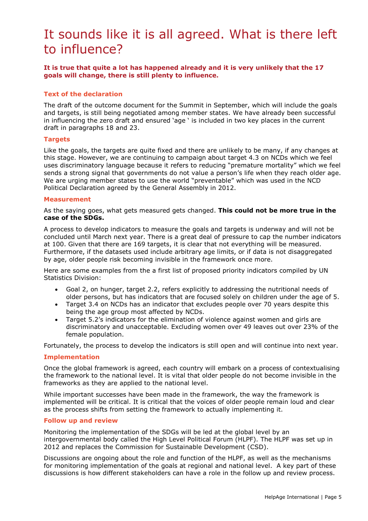### It sounds like it is all agreed. What is there left to influence?

**It is true that quite a lot has happened already and it is very unlikely that the 17 goals will change, there is still plenty to influence.** 

#### **Text of the declaration**

The draft of the outcome document for the Summit in September, which will include the goals and targets, is still being negotiated among member states. We have already been successful in influencing the zero draft and ensured 'age ' is included in two key places in the current draft in paragraphs 18 and 23.

#### **Targets**

Like the goals, the targets are quite fixed and there are unlikely to be many, if any changes at this stage. However, we are continuing to campaign about target 4.3 on NCDs which we feel uses discriminatory language because it refers to reducing "premature mortality" which we feel sends a strong signal that governments do not value a person's life when they reach older age. We are urging member states to use the world "preventable" which was used in the NCD Political Declaration agreed by the General Assembly in 2012.

#### **Measurement**

As the saying goes, what gets measured gets changed. **This could not be more true in the case of the SDGs.**

A process to develop indicators to measure the goals and targets is underway and will not be concluded until March next year. There is a great deal of pressure to cap the number indicators at 100. Given that there are 169 targets, it is clear that not everything will be measured. Furthermore, if the datasets used include arbitrary age limits, or if data is not disaggregated by age, older people risk becoming invisible in the framework once more.

Here are some examples from the a first list of proposed priority indicators compiled by UN Statistics Division:

- Goal 2, on hunger, target 2.2, refers explicitly to addressing the nutritional needs of older persons, but has indicators that are focused solely on children under the age of 5.
- Target 3.4 on NCDs has an indicator that excludes people over 70 years despite this being the age group most affected by NCDs.
- Target 5.2's indicators for the elimination of violence against women and girls are discriminatory and unacceptable. Excluding women over 49 leaves out over 23% of the female population.

Fortunately, the process to develop the indicators is still open and will continue into next year.

#### **Implementation**

Once the global framework is agreed, each country will embark on a process of contextualising the framework to the national level. It is vital that older people do not become invisible in the frameworks as they are applied to the national level.

While important successes have been made in the framework, the way the framework is implemented will be critical. It is critical that the voices of older people remain loud and clear as the process shifts from setting the framework to actually implementing it.

#### **Follow up and review**

Monitoring the implementation of the SDGs will be led at the global level by an intergovernmental body called the High Level Political Forum (HLPF). The HLPF was set up in 2012 and replaces the Commission for Sustainable Development (CSD).

Discussions are ongoing about the role and function of the HLPF, as well as the mechanisms for monitoring implementation of the goals at regional and national level. A key part of these discussions is how different stakeholders can have a role in the follow up and review process.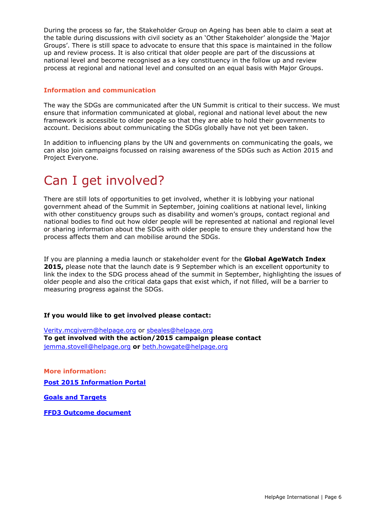During the process so far, the Stakeholder Group on Ageing has been able to claim a seat at the table during discussions with civil society as an 'Other Stakeholder' alongside the 'Major Groups'. There is still space to advocate to ensure that this space is maintained in the follow up and review process. It is also critical that older people are part of the discussions at national level and become recognised as a key constituency in the follow up and review process at regional and national level and consulted on an equal basis with Major Groups.

#### **Information and communication**

The way the SDGs are communicated after the UN Summit is critical to their success. We must ensure that information communicated at global, regional and national level about the new framework is accessible to older people so that they are able to hold their governments to account. Decisions about communicating the SDGs globally have not yet been taken.

In addition to influencing plans by the UN and governments on communicating the goals, we can also join campaigns focussed on raising awareness of the SDGs such as Action 2015 and Project Everyone.

### Can I get involved?

There are still lots of opportunities to get involved, whether it is lobbying your national government ahead of the Summit in September, joining coalitions at national level, linking with other constituency groups such as disability and women's groups, contact regional and national bodies to find out how older people will be represented at national and regional level or sharing information about the SDGs with older people to ensure they understand how the process affects them and can mobilise around the SDGs.

If you are planning a media launch or stakeholder event for the **Global AgeWatch Index 2015,** please note that the launch date is 9 September which is an excellent opportunity to link the index to the SDG process ahead of the summit in September, highlighting the issues of older people and also the critical data gaps that exist which, if not filled, will be a barrier to measuring progress against the SDGs.

#### **If you would like to get involved please contact:**

[Verity.mcgivern@helpage.org](mailto:Verity.mcgivern@helpage.org) or [sbeales@helpage.org](mailto:sbeales@helpage.org) **To get involved with the action/2015 campaign please contact**  [jemma.stovell@helpage.org](mailto:jemma.stovell@helpage.org) **or** [beth.howgate@helpage.org](mailto:beth.howgate@helpage.org)

**More information: [Post 2015 Information Portal](https://sustainabledevelopment.un.org/post2015)**

**[Goals and Targets](https://sustainabledevelopment.un.org/sdgsproposal)**

**[FFD3 Outcome document](http://www.un.org/ga/search/view_doc.asp?symbol=A/CONF.227/L.1)**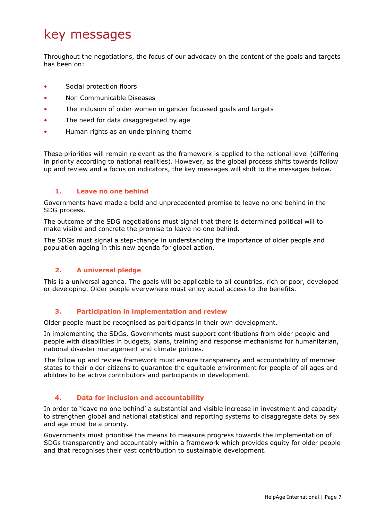### key messages

Throughout the negotiations, the focus of our advocacy on the content of the goals and targets has been on:

- Social protection floors
- Non Communicable Diseases
- The inclusion of older women in gender focussed goals and targets
- The need for data disaggregated by age
- Human rights as an underpinning theme

These priorities will remain relevant as the framework is applied to the national level (differing in priority according to national realities). However, as the global process shifts towards follow up and review and a focus on indicators, the key messages will shift to the messages below.

#### **1. Leave no one behind**

Governments have made a bold and unprecedented promise to leave no one behind in the SDG process.

The outcome of the SDG negotiations must signal that there is determined political will to make visible and concrete the promise to leave no one behind.

The SDGs must signal a step-change in understanding the importance of older people and population ageing in this new agenda for global action.

#### **2. A universal pledge**

This is a universal agenda. The goals will be applicable to all countries, rich or poor, developed or developing. Older people everywhere must enjoy equal access to the benefits.

#### **3. Participation in implementation and review**

Older people must be recognised as participants in their own development.

In implementing the SDGs, Governments must support contributions from older people and people with disabilities in budgets, plans, training and response mechanisms for humanitarian, national disaster management and climate policies.

The follow up and review framework must ensure transparency and accountability of member states to their older citizens to guarantee the equitable environment for people of all ages and abilities to be active contributors and participants in development.

#### **4. Data for inclusion and accountability**

In order to 'leave no one behind' a substantial and visible increase in investment and capacity to strengthen global and national statistical and reporting systems to disaggregate data by sex and age must be a priority.

Governments must prioritise the means to measure progress towards the implementation of SDGs transparently and accountably within a framework which provides equity for older people and that recognises their vast contribution to sustainable development.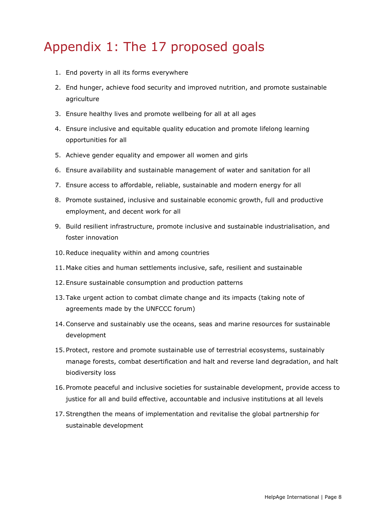### Appendix 1: The 17 proposed goals

- 1. End poverty in all its forms everywhere
- 2. End hunger, achieve food security and improved nutrition, and promote sustainable agriculture
- 3. Ensure healthy lives and promote wellbeing for all at all ages
- 4. Ensure inclusive and equitable quality education and promote lifelong learning opportunities for all
- 5. Achieve gender equality and empower all women and girls
- 6. Ensure availability and sustainable management of water and sanitation for all
- 7. Ensure access to affordable, reliable, sustainable and modern energy for all
- 8. Promote sustained, inclusive and sustainable economic growth, full and productive employment, and decent work for all
- 9. Build resilient infrastructure, promote inclusive and sustainable industrialisation, and foster innovation
- 10.Reduce inequality within and among countries
- 11. Make cities and human settlements inclusive, safe, resilient and sustainable
- 12.Ensure sustainable consumption and production patterns
- 13.Take urgent action to combat climate change and its impacts (taking note of agreements made by the UNFCCC forum)
- 14.Conserve and sustainably use the oceans, seas and marine resources for sustainable development
- 15.Protect, restore and promote sustainable use of terrestrial ecosystems, sustainably manage forests, combat desertification and halt and reverse land degradation, and halt biodiversity loss
- 16.Promote peaceful and inclusive societies for sustainable development, provide access to justice for all and build effective, accountable and inclusive institutions at all levels
- 17.Strengthen the means of implementation and revitalise the global partnership for sustainable development